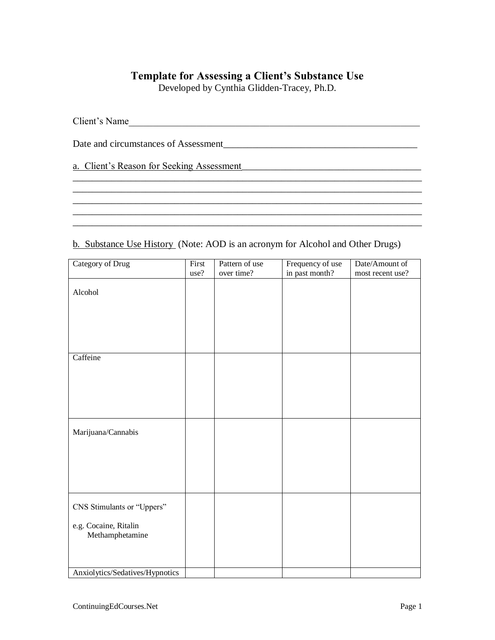# **Template for Assessing a Client's Substance Use**

Developed by Cynthia Glidden-Tracey, Ph.D.

\_\_\_\_\_\_\_\_\_\_\_\_\_\_\_\_\_\_\_\_\_\_\_\_\_\_\_\_\_\_\_\_\_\_\_\_\_\_\_\_\_\_\_\_\_\_\_\_\_\_\_\_\_\_\_\_\_\_\_\_\_\_\_\_\_\_\_\_\_\_\_\_

\_\_\_\_\_\_\_\_\_\_\_\_\_\_\_\_\_\_\_\_\_\_\_\_\_\_\_\_\_\_\_\_\_\_\_\_\_\_\_\_\_\_\_\_\_\_\_\_\_\_\_\_\_\_\_\_\_\_\_\_\_\_\_\_\_\_\_\_\_\_\_\_

 $\overline{a_1}$  ,  $\overline{a_2}$  ,  $\overline{a_3}$  ,  $\overline{a_4}$  ,  $\overline{a_5}$  ,  $\overline{a_6}$  ,  $\overline{a_7}$  ,  $\overline{a_8}$  ,  $\overline{a_9}$  ,  $\overline{a_9}$  ,  $\overline{a_9}$  ,  $\overline{a_9}$  ,  $\overline{a_9}$  ,  $\overline{a_9}$  ,  $\overline{a_9}$  ,  $\overline{a_9}$  ,  $\overline{a_9}$  ,

Date and circumstances of Assessment\_\_\_\_\_\_\_\_\_\_\_\_\_\_\_\_\_\_\_\_\_\_\_\_\_\_\_\_\_\_\_\_\_\_\_\_\_\_\_\_

a. Client's Reason for Seeking Assessment

## b. Substance Use History (Note: AOD is an acronym for Alcohol and Other Drugs)

| Category of Drug                | First | Pattern of use | Frequency of use | Date/Amount of   |
|---------------------------------|-------|----------------|------------------|------------------|
|                                 | use?  | over time?     | in past month?   | most recent use? |
|                                 |       |                |                  |                  |
| Alcohol                         |       |                |                  |                  |
|                                 |       |                |                  |                  |
|                                 |       |                |                  |                  |
|                                 |       |                |                  |                  |
|                                 |       |                |                  |                  |
|                                 |       |                |                  |                  |
|                                 |       |                |                  |                  |
| Caffeine                        |       |                |                  |                  |
|                                 |       |                |                  |                  |
|                                 |       |                |                  |                  |
|                                 |       |                |                  |                  |
|                                 |       |                |                  |                  |
|                                 |       |                |                  |                  |
|                                 |       |                |                  |                  |
|                                 |       |                |                  |                  |
| Marijuana/Cannabis              |       |                |                  |                  |
|                                 |       |                |                  |                  |
|                                 |       |                |                  |                  |
|                                 |       |                |                  |                  |
|                                 |       |                |                  |                  |
|                                 |       |                |                  |                  |
|                                 |       |                |                  |                  |
|                                 |       |                |                  |                  |
| CNS Stimulants or "Uppers"      |       |                |                  |                  |
|                                 |       |                |                  |                  |
| e.g. Cocaine, Ritalin           |       |                |                  |                  |
| Methamphetamine                 |       |                |                  |                  |
|                                 |       |                |                  |                  |
|                                 |       |                |                  |                  |
|                                 |       |                |                  |                  |
| Anxiolytics/Sedatives/Hypnotics |       |                |                  |                  |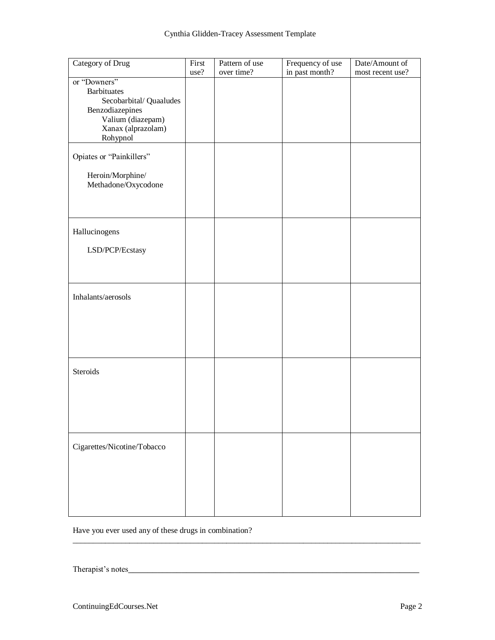| <b>Category of Drug</b>                                                                                                                | First<br>use? | Pattern of use<br>over time? | Frequency of use<br>in past month? | Date/Amount of<br>most recent use? |
|----------------------------------------------------------------------------------------------------------------------------------------|---------------|------------------------------|------------------------------------|------------------------------------|
| or "Downers"<br><b>Barbituates</b><br>Secobarbital/Quaaludes<br>Benzodiazepines<br>Valium (diazepam)<br>Xanax (alprazolam)<br>Rohypnol |               |                              |                                    |                                    |
| Opiates or "Painkillers"                                                                                                               |               |                              |                                    |                                    |
| Heroin/Morphine/<br>Methadone/Oxycodone                                                                                                |               |                              |                                    |                                    |
| Hallucinogens                                                                                                                          |               |                              |                                    |                                    |
| LSD/PCP/Ecstasy                                                                                                                        |               |                              |                                    |                                    |
| Inhalants/aerosols                                                                                                                     |               |                              |                                    |                                    |
|                                                                                                                                        |               |                              |                                    |                                    |
| Steroids                                                                                                                               |               |                              |                                    |                                    |
|                                                                                                                                        |               |                              |                                    |                                    |
| Cigarettes/Nicotine/Tobacco                                                                                                            |               |                              |                                    |                                    |
|                                                                                                                                        |               |                              |                                    |                                    |
|                                                                                                                                        |               |                              |                                    |                                    |

Have you ever used any of these drugs in combination?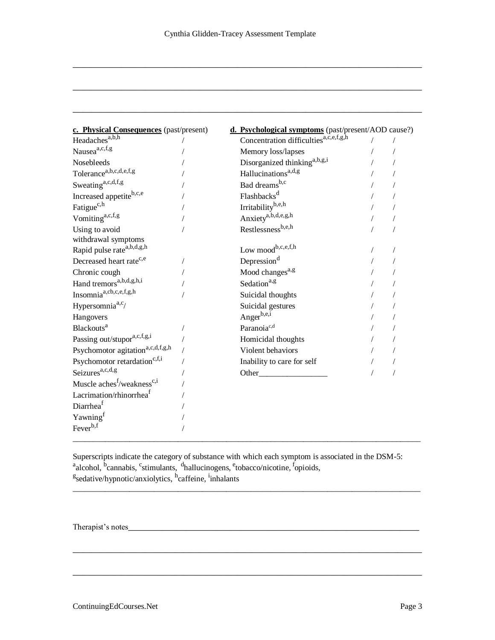\_\_\_\_\_\_\_\_\_\_\_\_\_\_\_\_\_\_\_\_\_\_\_\_\_\_\_\_\_\_\_\_\_\_\_\_\_\_\_\_\_\_\_\_\_\_\_\_\_\_\_\_\_\_\_\_\_\_\_\_\_\_\_\_\_\_\_\_\_\_\_\_

\_\_\_\_\_\_\_\_\_\_\_\_\_\_\_\_\_\_\_\_\_\_\_\_\_\_\_\_\_\_\_\_\_\_\_\_\_\_\_\_\_\_\_\_\_\_\_\_\_\_\_\_\_\_\_\_\_\_\_\_\_\_\_\_\_\_\_\_\_\_\_\_

| c. Physical Consequences (past/present)            | d. Psychological symptoms (past/present/AOD cause?) |  |
|----------------------------------------------------|-----------------------------------------------------|--|
| Headaches <sup>a,b,h</sup>                         | Concentration difficulties <sup>a,c,e,f,g,h</sup>   |  |
| Nausea <sup>a,c,f,g</sup>                          | Memory loss/lapses                                  |  |
| Nosebleeds                                         | Disorganized thinking <sup>a,b,g,i</sup>            |  |
| Tolerance <sup>a,b,c,d,e,f,g</sup>                 | Hallucinations <sup>a,d,g</sup>                     |  |
| Sweating <sup>a,c,d,f,g</sup>                      | Bad dreams <sup>b,c</sup>                           |  |
| Increased appetiteb,c,e                            | Flashbacks <sup>d</sup>                             |  |
| Fatigue <sup>c,h</sup>                             | Irritabilityb,e,h                                   |  |
| Vomiting <sup>a,c,f,g</sup>                        | Anxiety <sup>a,b,d,e,g,h</sup>                      |  |
| Using to avoid                                     | Restlessnessb,e,h                                   |  |
| withdrawal symptoms                                |                                                     |  |
| Rapid pulse ratea,b,d,g,h                          | $Low\,\, \text{mod}^{b,c,e,f,h}$                    |  |
| Decreased heart rate <sup>c,e</sup>                | Depression <sup>d</sup>                             |  |
| Chronic cough                                      | Mood changes <sup>a,g</sup>                         |  |
| Hand tremors <sup>a,b,d,g,h,i</sup>                | Sedation <sup>a,g</sup>                             |  |
| Insomnia <sup>a,cb,c,e,f,g,h</sup>                 | Suicidal thoughts                                   |  |
| Hypersomnia <sup>a,c</sup> /                       | Suicidal gestures                                   |  |
| Hangovers                                          | Anger <sup>b,e,i</sup>                              |  |
| <b>Blackouts<sup>a</sup></b>                       | Paranoia <sup>c,d</sup>                             |  |
| Passing out/stupor <sup>a,c,f,g,i</sup>            | Homicidal thoughts                                  |  |
| Psychomotor agitation <sup>a,c,d,f,g,h</sup>       | Violent behaviors                                   |  |
| Psychomotor retardation <sup>c,f,i</sup>           | Inability to care for self                          |  |
| Seizures <sup>a,c,d,g</sup>                        | Other                                               |  |
| Muscle aches <sup>f</sup> /weakness <sup>c,i</sup> |                                                     |  |
| Lacrimation/rhinorrhea <sup>f</sup>                |                                                     |  |
| Diarrhea <sup>f</sup>                              |                                                     |  |
| Yawning <sup>f</sup>                               |                                                     |  |
| Fever <sup>b,f</sup>                               |                                                     |  |

Superscripts indicate the category of substance with which each symptom is associated in the DSM-5: <sup>a</sup>alcohol, <sup>b</sup>cannabis, <sup>c</sup>stimulants, <sup>d</sup>hallucinogens, <sup>e</sup>tobacco/nicotine, <sup>f</sup>opioids, <sup>g</sup>sedative/hypnotic/anxiolytics, <sup>h</sup>caffeine, <sup>i</sup>inhalants

 $\_$  ,  $\_$  ,  $\_$  ,  $\_$  ,  $\_$  ,  $\_$  ,  $\_$  ,  $\_$  ,  $\_$  ,  $\_$  ,  $\_$  ,  $\_$  ,  $\_$  ,  $\_$  ,  $\_$  ,  $\_$  ,  $\_$  ,  $\_$  ,  $\_$  ,  $\_$  ,  $\_$  ,  $\_$  ,  $\_$  ,  $\_$  ,  $\_$  ,  $\_$  ,  $\_$  ,  $\_$  ,  $\_$  ,  $\_$  ,  $\_$  ,  $\_$  ,  $\_$  ,  $\_$  ,  $\_$  ,  $\_$  ,  $\_$  ,

\_\_\_\_\_\_\_\_\_\_\_\_\_\_\_\_\_\_\_\_\_\_\_\_\_\_\_\_\_\_\_\_\_\_\_\_\_\_\_\_\_\_\_\_\_\_\_\_\_\_\_\_\_\_\_\_\_\_\_\_\_\_\_\_\_\_\_\_\_\_\_\_

\_\_\_\_\_\_\_\_\_\_\_\_\_\_\_\_\_\_\_\_\_\_\_\_\_\_\_\_\_\_\_\_\_\_\_\_\_\_\_\_\_\_\_\_\_\_\_\_\_\_\_\_\_\_\_\_\_\_\_\_\_\_\_\_\_\_\_\_\_\_\_\_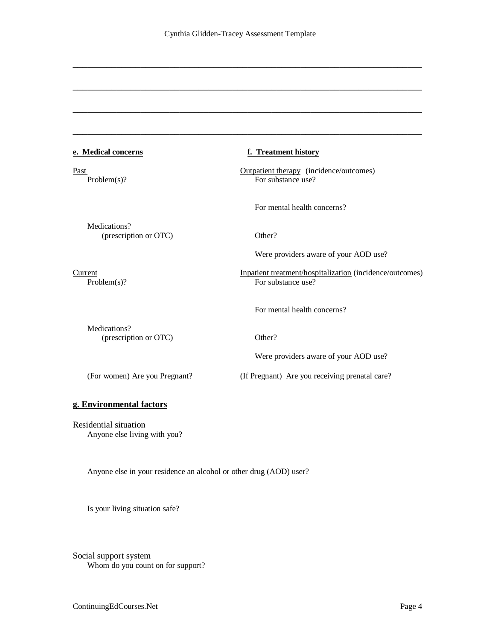\_\_\_\_\_\_\_\_\_\_\_\_\_\_\_\_\_\_\_\_\_\_\_\_\_\_\_\_\_\_\_\_\_\_\_\_\_\_\_\_\_\_\_\_\_\_\_\_\_\_\_\_\_\_\_\_\_\_\_\_\_\_\_\_\_\_\_\_\_\_\_\_

\_\_\_\_\_\_\_\_\_\_\_\_\_\_\_\_\_\_\_\_\_\_\_\_\_\_\_\_\_\_\_\_\_\_\_\_\_\_\_\_\_\_\_\_\_\_\_\_\_\_\_\_\_\_\_\_\_\_\_\_\_\_\_\_\_\_\_\_\_\_\_\_

\_\_\_\_\_\_\_\_\_\_\_\_\_\_\_\_\_\_\_\_\_\_\_\_\_\_\_\_\_\_\_\_\_\_\_\_\_\_\_\_\_\_\_\_\_\_\_\_\_\_\_\_\_\_\_\_\_\_\_\_\_\_\_\_\_\_\_\_\_\_\_\_

### **e. Medical concerns f. Treatment history**

Medications? (prescription or OTC) Other?

Past **Outpatient therapy** (incidence/outcomes) Problem(s)? For substance use?

For mental health concerns?

Were providers aware of your AOD use?

Current **Inpatient Treatment/hospitalization** (incidence/outcomes) Problem(s)? For substance use?

Medications? (prescription or OTC) Other?

Were providers aware of your AOD use?

(For women) Are you Pregnant? (If Pregnant) Are you receiving prenatal care?

For mental health concerns?

### **g. Environmental factors**

Residential situation Anyone else living with you?

Anyone else in your residence an alcohol or other drug (AOD) user?

Is your living situation safe?

Social support system Whom do you count on for support?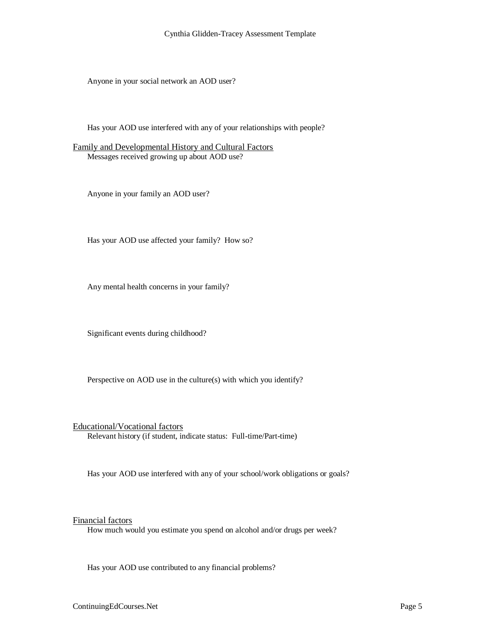Cynthia Glidden-Tracey Assessment Template

Anyone in your social network an AOD user?

Has your AOD use interfered with any of your relationships with people?

Family and Developmental History and Cultural Factors Messages received growing up about AOD use?

Anyone in your family an AOD user?

Has your AOD use affected your family? How so?

Any mental health concerns in your family?

Significant events during childhood?

Perspective on AOD use in the culture(s) with which you identify?

Educational/Vocational factors Relevant history (if student, indicate status: Full-time/Part-time)

Has your AOD use interfered with any of your school/work obligations or goals?

Financial factors

How much would you estimate you spend on alcohol and/or drugs per week?

Has your AOD use contributed to any financial problems?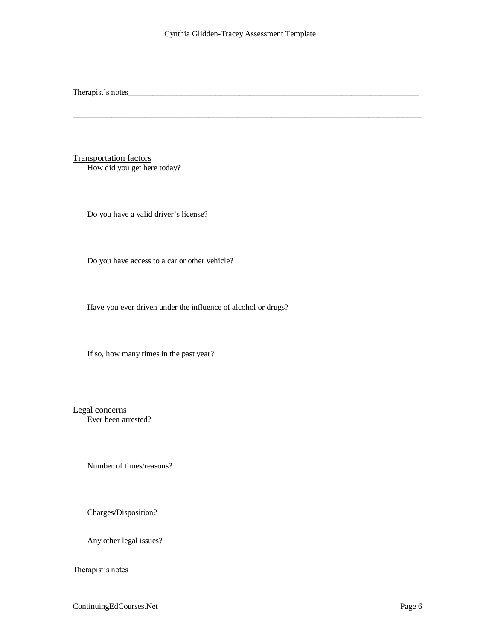\_\_\_\_\_\_\_\_\_\_\_\_\_\_\_\_\_\_\_\_\_\_\_\_\_\_\_\_\_\_\_\_\_\_\_\_\_\_\_\_\_\_\_\_\_\_\_\_\_\_\_\_\_\_\_\_\_\_\_\_\_\_\_\_\_\_\_\_\_\_\_\_

Therapist's notes\_\_\_\_\_\_\_\_\_\_\_\_\_\_\_\_\_\_\_\_\_\_\_\_\_\_\_\_\_\_\_\_\_\_\_\_\_\_\_\_\_\_\_\_\_\_\_\_\_\_\_\_\_\_\_\_\_\_\_\_

Transportation factors How did you get here today?

Do you have a valid driver's license?

Do you have access to a car or other vehicle?

Have you ever driven under the influence of alcohol or drugs?

If so, how many times in the past year?

Legal concerns Ever been arrested?

Number of times/reasons?

Charges/Disposition?

Any other legal issues?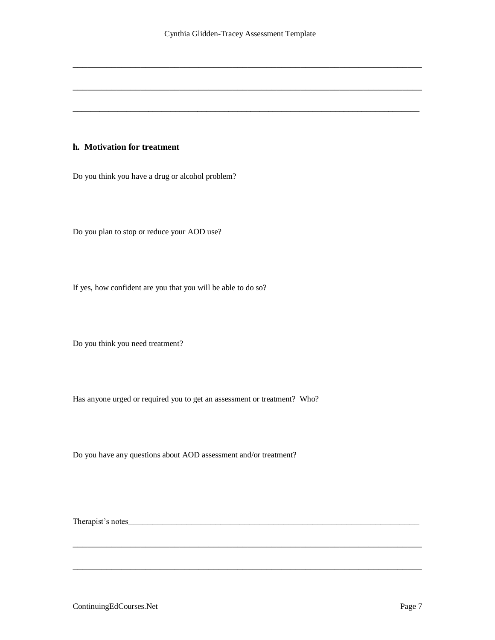\_\_\_\_\_\_\_\_\_\_\_\_\_\_\_\_\_\_\_\_\_\_\_\_\_\_\_\_\_\_\_\_\_\_\_\_\_\_\_\_\_\_\_\_\_\_\_\_\_\_\_\_\_\_\_\_\_\_\_\_\_\_\_\_\_\_\_\_\_\_\_\_

\_\_\_\_\_\_\_\_\_\_\_\_\_\_\_\_\_\_\_\_\_\_\_\_\_\_\_\_\_\_\_\_\_\_\_\_\_\_\_\_\_\_\_\_\_\_\_\_\_\_\_\_\_\_\_\_\_\_\_\_\_\_\_\_\_\_\_\_\_\_\_\_\_\_\_\_\_\_

## **h. Motivation for treatment**

Do you think you have a drug or alcohol problem?

Do you plan to stop or reduce your AOD use?

If yes, how confident are you that you will be able to do so?

Do you think you need treatment?

Has anyone urged or required you to get an assessment or treatment? Who?

Do you have any questions about AOD assessment and/or treatment?

\_\_\_\_\_\_\_\_\_\_\_\_\_\_\_\_\_\_\_\_\_\_\_\_\_\_\_\_\_\_\_\_\_\_\_\_\_\_\_\_\_\_\_\_\_\_\_\_\_\_\_\_\_\_\_\_\_\_\_\_\_\_\_\_\_\_\_\_\_\_\_\_

\_\_\_\_\_\_\_\_\_\_\_\_\_\_\_\_\_\_\_\_\_\_\_\_\_\_\_\_\_\_\_\_\_\_\_\_\_\_\_\_\_\_\_\_\_\_\_\_\_\_\_\_\_\_\_\_\_\_\_\_\_\_\_\_\_\_\_\_\_\_\_\_